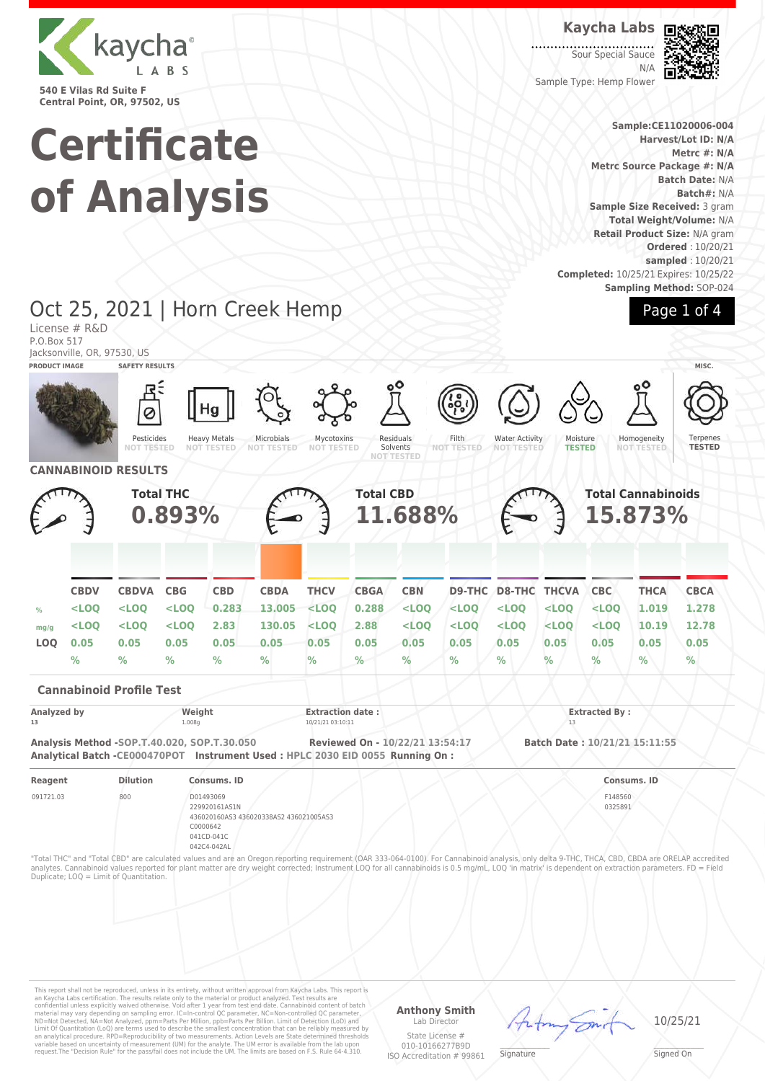

**Central Point, OR, 97502, US**

License # R&D

# **Certificate of Analysis**

Oct 25, 2021 | Horn Creek Hemp

**Kaycha Labs**

Sour Special Sauce N/A Sample Type: Hemp Flower



**Sample:CE11020006-004 Harvest/Lot ID: N/A Metrc #: N/A Metrc Source Package #: N/A Batch Date:** N/A **Batch#:** N/A **Sample Size Received:** 3 gram **Total Weight/Volume:** N/A **Retail Product Size:** N/A gram **Ordered** : 10/20/21 **sampled** : 10/20/21 **Completed:** 10/25/21 Expires: 10/25/22 **Sampling Method:** SOP-024

Page 1 of 4

#### P.O.Box 517 Jacksonville, OR, 97530, US **PRODUCT IMAGE SAFETY RESULTS MISC.** Pesticides **NOT TESTED** Heavy Metals **NOT TESTED** Microbials **NOT TESTED** Mycotoxins **NOT TESTED** Residuals Solvents **NOT TESTED** Filth **NOT TESTED** Water Activity **NOT TESTED** Moisture **TESTED Homogeneity NOT TESTED** Ternenes **TESTED CANNABINOID RESULTS Total THC 0.893% Total CBD 11.688% Total Cannabinoids 15.873% CBDV CBDVA CBG CBD CBDA THCV CBGA CBN D9-THC D8-THC THCVA CBC THCA CBCA % <LOQ <LOQ <LOQ 0.283 13.005 <LOQ 0.288 <LOQ <LOQ <LOQ <LOQ <LOQ 1.019 1.278 mg/g <LOQ <LOQ <LOQ 2.83 130.05 <LOQ 2.88 <LOQ <LOQ <LOQ <LOQ <LOQ 10.19 12.78 LOQ 0.05 0.05 0.05 0.05 0.05 0.05 0.05 0.05 0.05 0.05 0.05 0.05 0.05 0.05 % % % % % % % % % % % % % % Cannabinoid Profile Test Analyzed by Weight Extraction date : Extracted By : 13 1.008g 10/21/21 03:10:11 13 11 Analysis Method -SOP.T.40.020, SOP.T.30.050 Reviewed On - 10/22/21 13:54:17 Batch Date : 10/21/21 15:11:55 Analytical Batch -CE000470POT Instrument Used : HPLC 2030 EID 0055 Running On : Reagent Dilution Consums. ID Consums. ID** 091721.03 800 D01493069 229920161AS1N 436020160AS3 436020338AS2 436021005AS3 C0000642 041CD-041C 042C4-042AL F148560 0325891 "Total THC" and "Total CBD" are calculated values and are an Oregon reporting requirement (OAR 333-064-0100). For Cannabinoid analysis, only delta 9-THC, THCA, CBD, CBDA are ORELAP accredited analytes. Cannabinoid values reported for plant matter are dry weight corrected; Instrument LOQ for all cannabinoids is 0.5 mg/mL, LOQ 'in matrix' is dependent on extraction parameters. FD = Field Duplicate; LOQ = Limit of Quantitation.

This report shall not be reproduced, unless in its entirety, without written approval from Kaycha Labs. This report is<br>an Kaycha Labs certification. The results relate only to the material or product analyzed. Test result Limit Of Quantitation (LoQ) are terms used to describe the smallest concentration that can be reliably measured by<br>an analytical procedure. RPD=Reproducibility of two measurements. Action Levels are State determined thresh

**Anthony Smith** Lab Director State License #

010-10166277B9D ISO Accreditation # 99861

10/25/21

Signature

Signed On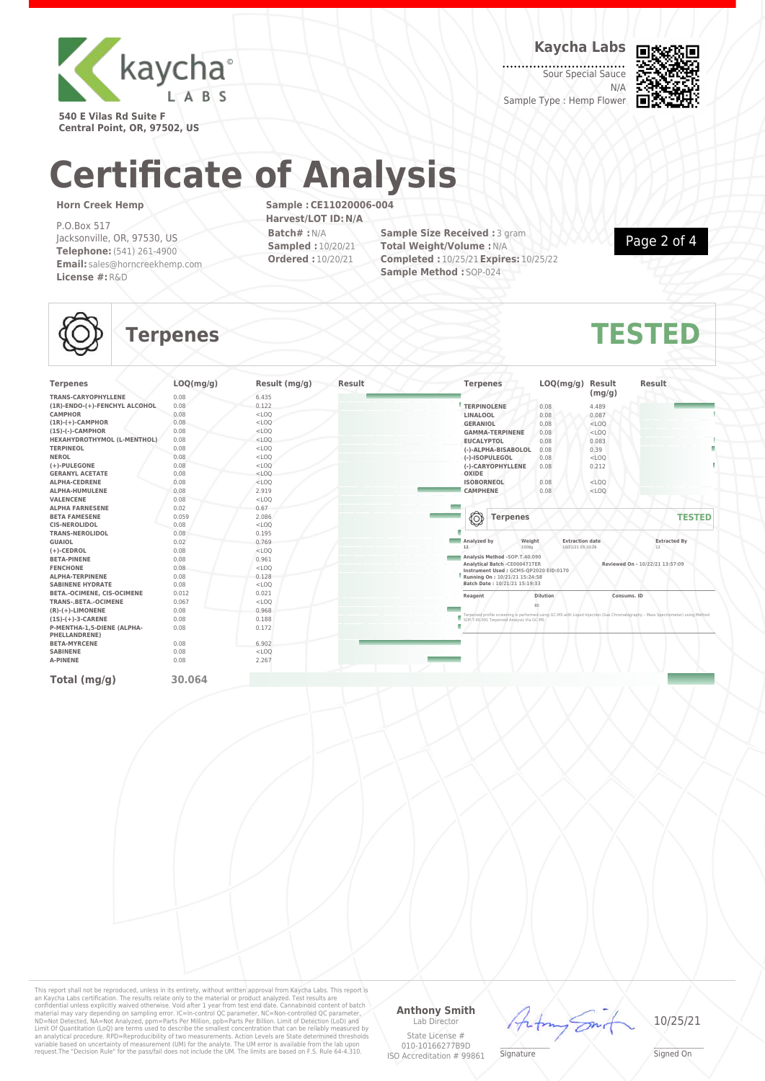

**Kaycha Labs**

Sour Special Sauce N/A

Sample Type : Hemp Flower



**Central Point, OR, 97502, US**

## **Certificate of Analysis**

#### **Horn Creek Hemp**

P.O.Box 517 Jacksonville, OR, 97530, US **Telephone:**(541) 261-4900 **Email:** sales@horncreekhemp.com **License #:**R&D

**Sample :CE11020006-004 Harvest/LOT ID:N/A Batch# :**N/A **Sampled :** 10/20/21 **Ordered :** 10/20/21

**Sample Size Received : 3 gram Total Weight/Volume :**N/A **Completed :** 10/25/21**Expires:** 10/25/22 **Sample Method :** SOP-024

Page 2 of 4

### **Terpenes TESTED**

| <b>Terpenes</b>                                    | LOQ(mg/g) | Result (mg/g) | Result | <b>Terpenes</b>                                                         | LOQ(mg/g)              | <b>Result</b> | Result                                                                                                                                                                        |
|----------------------------------------------------|-----------|---------------|--------|-------------------------------------------------------------------------|------------------------|---------------|-------------------------------------------------------------------------------------------------------------------------------------------------------------------------------|
| <b>TRANS-CARYOPHYLLENE</b>                         | 0.08      | 6.435         |        |                                                                         |                        | (mg/g)        |                                                                                                                                                                               |
| (1R)-ENDO-(+)-FENCHYL ALCOHOL                      | 0.08      | 0.122         |        | <b>TERPINOLENE</b>                                                      | 0.08                   | 4.489         |                                                                                                                                                                               |
| <b>CAMPHOR</b>                                     | 0.08      | $<$ LOQ       |        | LINALOOL                                                                | 0.08                   | 0.087         |                                                                                                                                                                               |
| $(1R)-(+)$ -CAMPHOR                                | 0.08      | $<$ LOQ       |        | <b>GERANIOL</b>                                                         | 0.08                   | $<$ LOQ       |                                                                                                                                                                               |
| $(1S)-(-)$ -CAMPHOR                                | 0.08      | $<$ LOQ       |        | <b>GAMMA-TERPINENE</b>                                                  | 0.08                   | $<$ LOQ       |                                                                                                                                                                               |
| HEXAHYDROTHYMOL (L-MENTHOL)                        | 0.08      | $<$ LOQ       |        | <b>EUCALYPTOL</b>                                                       | 0.08                   | 0.083         |                                                                                                                                                                               |
| <b>TERPINEOL</b>                                   | 0.08      | $<$ LOQ       |        | (-)-ALPHA-BISABOLOL                                                     | 0.08                   | 0.39          |                                                                                                                                                                               |
| <b>NEROL</b>                                       | 0.08      | $<$ LOQ       |        | (-)-ISOPULEGOL                                                          | 0.08                   | $<$ LOQ       |                                                                                                                                                                               |
| (+)-PULEGONE                                       | 0.08      | $<$ LOQ       |        | (-)-CARYOPHYLLENE                                                       | 0.08                   | 0.212         |                                                                                                                                                                               |
| <b>GERANYL ACETATE</b>                             | 0.08      | $<$ LOQ       |        | OXIDE                                                                   |                        |               |                                                                                                                                                                               |
| <b>ALPHA-CEDRENE</b>                               | 0.08      | $<$ LOQ       |        | <b>ISOBORNEOL</b>                                                       | 0.08                   | $<$ LOQ       |                                                                                                                                                                               |
| ALPHA-HUMULENE                                     | 0.08      | 2.919         |        | <b>CAMPHENE</b>                                                         | 0.08                   | $<$ LOQ       |                                                                                                                                                                               |
| <b>VALENCENE</b>                                   | 0.08      | $<$ LOQ       |        |                                                                         |                        |               |                                                                                                                                                                               |
| <b>ALPHA FARNESENE</b>                             | 0.02      | 0.67          |        |                                                                         |                        |               |                                                                                                                                                                               |
| <b>BETA FAMESENE</b>                               | 0.059     | 2.086         |        | ◎<br><b>Terpenes</b>                                                    |                        |               | <b>TESTED</b>                                                                                                                                                                 |
| <b>CIS-NEROLIDOL</b>                               | 0.08      | $<$ LOQ       |        |                                                                         |                        |               |                                                                                                                                                                               |
| <b>TRANS-NEROLIDOL</b>                             | 0.08      | 0.195         |        |                                                                         |                        |               |                                                                                                                                                                               |
| <b>GUAIOL</b>                                      | 0.02      | 0.769         |        | $\sim$<br>Weight<br>Analyzed by                                         | <b>Extraction date</b> |               | <b>Extracted By</b>                                                                                                                                                           |
| $(+)$ -CEDROL                                      | 0.08      | $<$ LOQ       |        | $12$<br>1008q                                                           | 10/21/21 03:10:26      |               | 12                                                                                                                                                                            |
| <b>BETA-PINENE</b>                                 | 0.08      | 0.961         |        | Analysis Method -SOP.T.40.090                                           |                        |               | Reviewed On - 10/22/21 13:57:09                                                                                                                                               |
| <b>FENCHONE</b>                                    | 0.08      | $<$ LOQ       |        | Analytical Batch - CE000471TER<br>Instrument Used: GCMS-QP2020 EID:0170 |                        |               |                                                                                                                                                                               |
| <b>ALPHA-TERPINENE</b>                             | 0.08      | 0.128         |        | Running On: 10/21/21 15:24:58                                           |                        |               |                                                                                                                                                                               |
| <b>SABINENE HYDRATE</b>                            | 0.08      | $<$ LOQ       |        | Batch Date: 10/21/21 15:19:33                                           |                        |               |                                                                                                                                                                               |
| BETA.-OCIMENE, CIS-OCIMENE                         | 0.012     | 0.021         |        | Reagent                                                                 | <b>Dilution</b>        | Consums. ID   |                                                                                                                                                                               |
| <b>TRANS-.BETA.-OCIMENE</b>                        | 0.067     | $<$ LOQ       |        |                                                                         | 80                     |               |                                                                                                                                                                               |
| $(R)-(+)$ -LIMONENE                                | 0.08      | 0.968         |        |                                                                         |                        |               |                                                                                                                                                                               |
| $(1S)-(+)$ -3-CARENE                               | 0.08      | 0.188         |        |                                                                         |                        |               | Terpenoid profile screening is performed using GC-MS with Liquid Injection (Gas Chromatography - Mass Spectrometer) using Method<br>SOP:T.40.091 Terpenoid Analysis Via GC-MS |
| P-MENTHA-1,5-DIENE (ALPHA-<br><b>PHELLANDRENE)</b> | 0.08      | 0.172         |        |                                                                         |                        |               |                                                                                                                                                                               |
| <b>BETA-MYRCENE</b>                                | 0.08      | 6.902         |        |                                                                         |                        |               |                                                                                                                                                                               |
| <b>SABINENE</b>                                    | 0.08      | $<$ LOQ       |        |                                                                         |                        |               |                                                                                                                                                                               |
| A-PINENE                                           | 0.08      | 2.267         |        |                                                                         |                        |               |                                                                                                                                                                               |
| Total $(mq/q)$                                     | 30.064    |               |        |                                                                         |                        |               |                                                                                                                                                                               |

This report shall not be reproduced, unless in its entirety, without written approval from Kaycha Labs. This report is<br>an Kaycha Labs certification. The results relate only to the material or product analyzed. Test results

#### **Anthony Smith** Lab Director

the

10/25/21

\_\_\_\_\_\_\_\_\_\_\_\_\_\_\_\_\_\_\_ Signed On

State License # 010-10166277B9D ISO Accreditation # 99861 **Signature**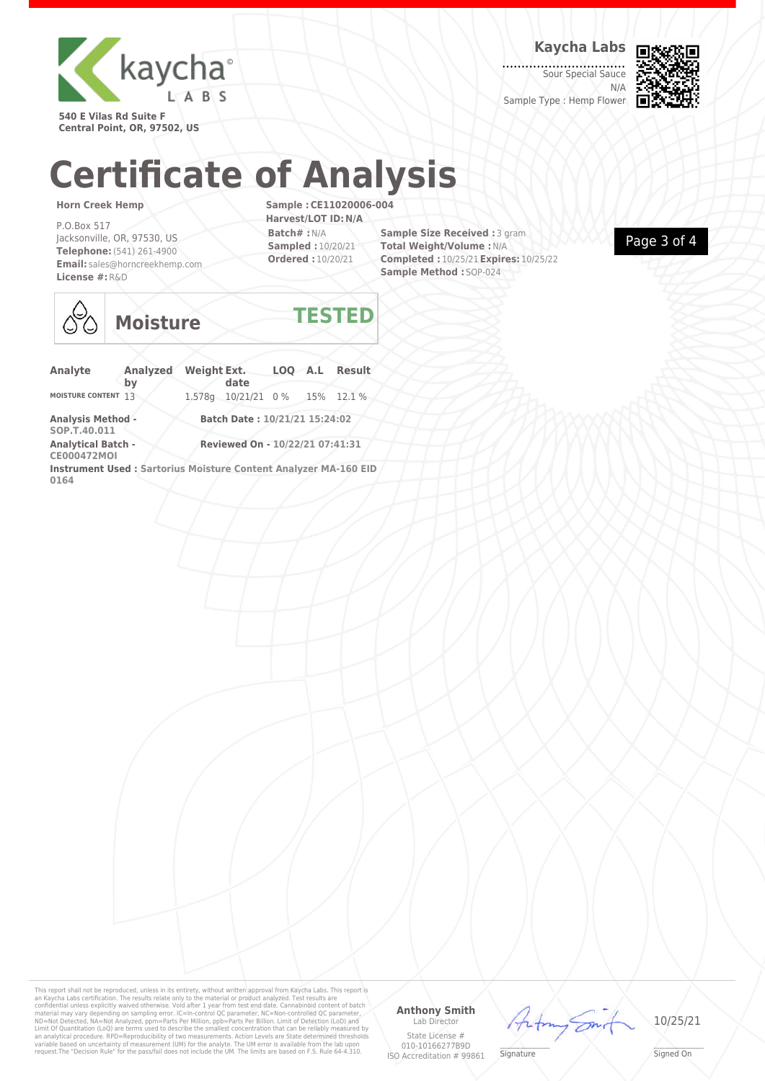

**Kaycha Labs**

Sour Special Sauce N/A



**540 E Vilas Rd Suite F Central Point, OR, 97502, US**

## **Certificate of Analysis**

#### **Horn Creek Hemp**

P.O.Box 517 Jacksonville, OR, 97530, US **Telephone:**(541) 261-4900 **Email:** sales@horncreekhemp.com **License #:**R&D

**Sample :CE11020006-004 Harvest/LOT ID:N/A Batch# :**N/A **Sampled :** 10/20/21 **Ordered :** 10/20/21

**Sample Size Received : 3 gram Total Weight/Volume :**N/A **Completed :** 10/25/21**Expires:** 10/25/22 **Sample Method :** SOP-024

Page 3 of 4



### **Moisture TESTED**

| Analyte                                         | <b>Analyzed</b><br>bv | <b>Weight Ext.</b><br>date                                       |  | LOO A.L Result |
|-------------------------------------------------|-----------------------|------------------------------------------------------------------|--|----------------|
| MOISTURE CONTENT 13                             |                       | 1.578g 10/21/21 0% 15% 12.1%                                     |  |                |
| <b>Analysis Method -</b><br>SOP.T.40.011        |                       | Batch Date: 10/21/21 15:24:02                                    |  |                |
| <b>Analytical Batch -</b><br><b>CE000472MOI</b> |                       | Reviewed On - 10/22/21 07:41:31                                  |  |                |
| 0164                                            |                       | Instrument Used : Sartorius Moisture Content Analyzer MA-160 EID |  |                |

This report shall not be reproduced, unless in its entirety, without written approval from Kaycha Labs. This report is<br>an Kaycha Labs certification. The results relate only to the material or product analyzed. Test results

#### **Anthony Smith** Lab Director

 $44$ 



\_\_\_\_\_\_\_\_\_\_\_\_\_\_\_\_\_\_\_ Signed On

State License # 010-10166277B9D ISO Accreditation # 99861

**Signature**